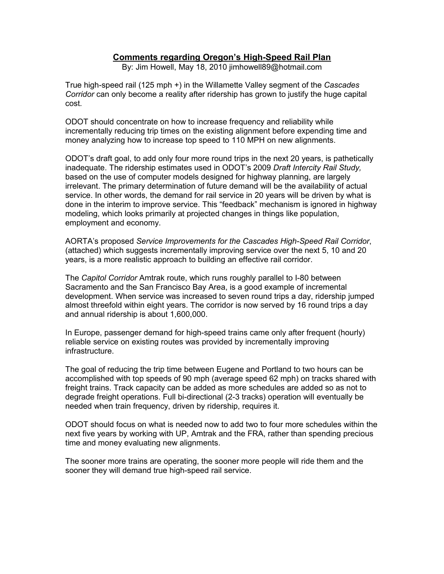## **Comments regarding Oregon's High-Speed Rail Plan**

By: Jim Howell, May 18, 2010 jimhowell89@hotmail.com

True high-speed rail (125 mph +) in the Willamette Valley segment of the *Cascades Corridor* can only become a reality after ridership has grown to justify the huge capital cost.

ODOT should concentrate on how to increase frequency and reliability while incrementally reducing trip times on the existing alignment before expending time and money analyzing how to increase top speed to 110 MPH on new alignments.

ODOT's draft goal, to add only four more round trips in the next 20 years, is pathetically inadequate. The ridership estimates used in ODOT's 2009 *Draft Intercity Rail Study,* based on the use of computer models designed for highway planning, are largely irrelevant. The primary determination of future demand will be the availability of actual service. In other words, the demand for rail service in 20 years will be driven by what is done in the interim to improve service. This "feedback" mechanism is ignored in highway modeling, which looks primarily at projected changes in things like population, employment and economy.

AORTA's proposed *Service Improvements for the Cascades High-Speed Rail Corridor*, (attached) which suggests incrementally improving service over the next 5, 10 and 20 years, is a more realistic approach to building an effective rail corridor.

The *Capitol Corridor* Amtrak route, which runs roughly parallel to I-80 between Sacramento and the San Francisco Bay Area, is a good example of incremental development. When service was increased to seven round trips a day, ridership jumped almost threefold within eight years. The corridor is now served by 16 round trips a day and annual ridership is about 1,600,000.

In Europe, passenger demand for high-speed trains came only after frequent (hourly) reliable service on existing routes was provided by incrementally improving infrastructure.

The goal of reducing the trip time between Eugene and Portland to two hours can be accomplished with top speeds of 90 mph (average speed 62 mph) on tracks shared with freight trains. Track capacity can be added as more schedules are added so as not to degrade freight operations. Full bi-directional (2-3 tracks) operation will eventually be needed when train frequency, driven by ridership, requires it.

ODOT should focus on what is needed now to add two to four more schedules within the next five years by working with UP, Amtrak and the FRA, rather than spending precious time and money evaluating new alignments.

The sooner more trains are operating, the sooner more people will ride them and the sooner they will demand true high-speed rail service.